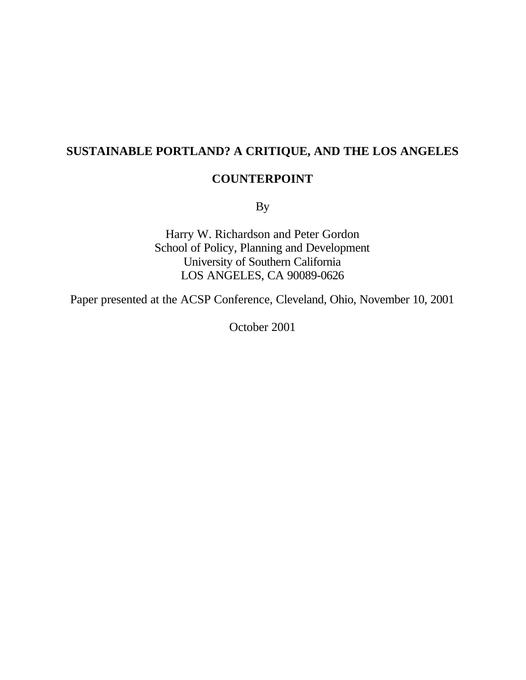# **SUSTAINABLE PORTLAND? A CRITIQUE, AND THE LOS ANGELES**

# **COUNTERPOINT**

By

Harry W. Richardson and Peter Gordon School of Policy, Planning and Development University of Southern California LOS ANGELES, CA 90089-0626

Paper presented at the ACSP Conference, Cleveland, Ohio, November 10, 2001

October 2001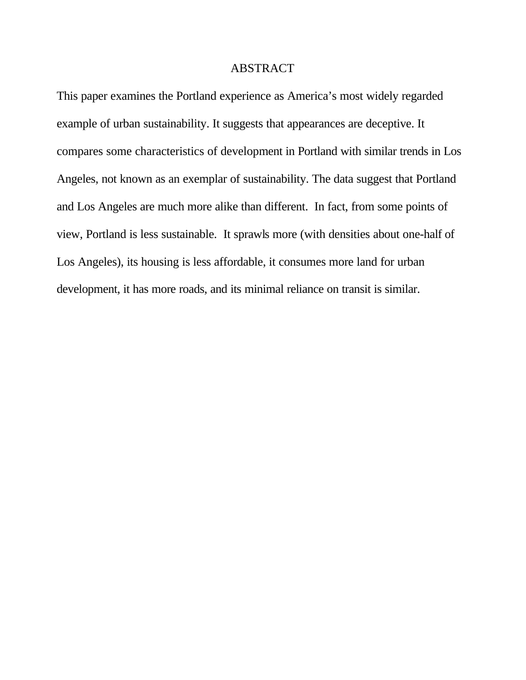## ABSTRACT

This paper examines the Portland experience as America's most widely regarded example of urban sustainability. It suggests that appearances are deceptive. It compares some characteristics of development in Portland with similar trends in Los Angeles, not known as an exemplar of sustainability. The data suggest that Portland and Los Angeles are much more alike than different. In fact, from some points of view, Portland is less sustainable. It sprawls more (with densities about one-half of Los Angeles), its housing is less affordable, it consumes more land for urban development, it has more roads, and its minimal reliance on transit is similar.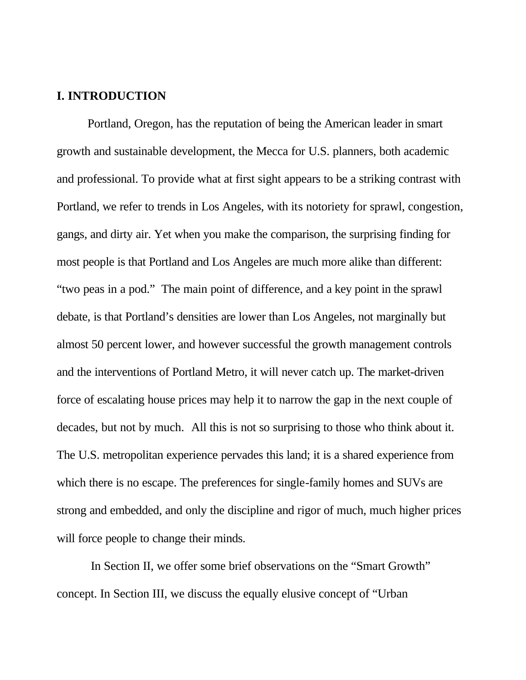# **I. INTRODUCTION**

Portland, Oregon, has the reputation of being the American leader in smart growth and sustainable development, the Mecca for U.S. planners, both academic and professional. To provide what at first sight appears to be a striking contrast with Portland, we refer to trends in Los Angeles, with its notoriety for sprawl, congestion, gangs, and dirty air. Yet when you make the comparison, the surprising finding for most people is that Portland and Los Angeles are much more alike than different: "two peas in a pod." The main point of difference, and a key point in the sprawl debate, is that Portland's densities are lower than Los Angeles, not marginally but almost 50 percent lower, and however successful the growth management controls and the interventions of Portland Metro, it will never catch up. The market-driven force of escalating house prices may help it to narrow the gap in the next couple of decades, but not by much.All this is not so surprising to those who think about it. The U.S. metropolitan experience pervades this land; it is a shared experience from which there is no escape. The preferences for single-family homes and SUVs are strong and embedded, and only the discipline and rigor of much, much higher prices will force people to change their minds.

 In Section II, we offer some brief observations on the "Smart Growth" concept. In Section III, we discuss the equally elusive concept of "Urban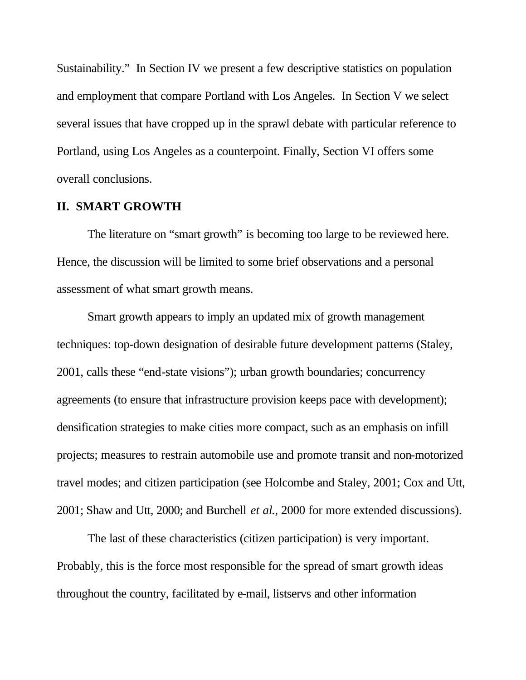Sustainability." In Section IV we present a few descriptive statistics on population and employment that compare Portland with Los Angeles. In Section V we select several issues that have cropped up in the sprawl debate with particular reference to Portland, using Los Angeles as a counterpoint. Finally, Section VI offers some overall conclusions.

#### **II. SMART GROWTH**

The literature on "smart growth" is becoming too large to be reviewed here. Hence, the discussion will be limited to some brief observations and a personal assessment of what smart growth means.

Smart growth appears to imply an updated mix of growth management techniques: top-down designation of desirable future development patterns (Staley, 2001, calls these "end-state visions"); urban growth boundaries; concurrency agreements (to ensure that infrastructure provision keeps pace with development); densification strategies to make cities more compact, such as an emphasis on infill projects; measures to restrain automobile use and promote transit and non-motorized travel modes; and citizen participation (see Holcombe and Staley, 2001; Cox and Utt, 2001; Shaw and Utt, 2000; and Burchell *et al*., 2000 for more extended discussions).

The last of these characteristics (citizen participation) is very important. Probably, this is the force most responsible for the spread of smart growth ideas throughout the country, facilitated by e-mail, listservs and other information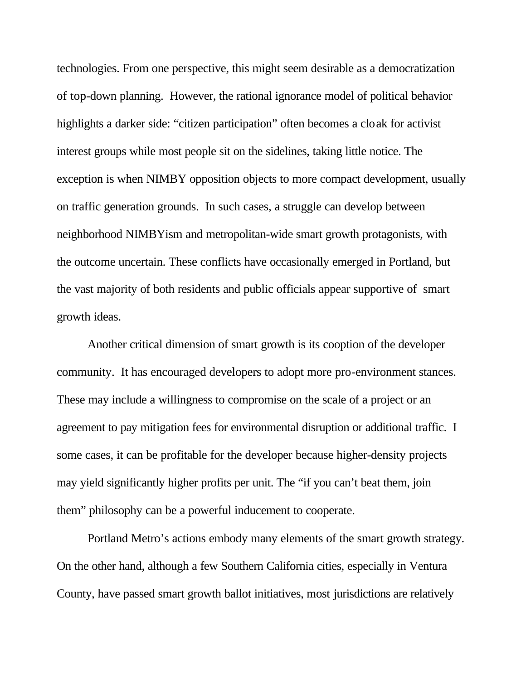technologies. From one perspective, this might seem desirable as a democratization of top-down planning. However, the rational ignorance model of political behavior highlights a darker side: "citizen participation" often becomes a cloak for activist interest groups while most people sit on the sidelines, taking little notice. The exception is when NIMBY opposition objects to more compact development, usually on traffic generation grounds. In such cases, a struggle can develop between neighborhood NIMBYism and metropolitan-wide smart growth protagonists, with the outcome uncertain. These conflicts have occasionally emerged in Portland, but the vast majority of both residents and public officials appear supportive of smart growth ideas.

Another critical dimension of smart growth is its cooption of the developer community. It has encouraged developers to adopt more pro-environment stances. These may include a willingness to compromise on the scale of a project or an agreement to pay mitigation fees for environmental disruption or additional traffic. I some cases, it can be profitable for the developer because higher-density projects may yield significantly higher profits per unit. The "if you can't beat them, join them" philosophy can be a powerful inducement to cooperate.

Portland Metro's actions embody many elements of the smart growth strategy. On the other hand, although a few Southern California cities, especially in Ventura County, have passed smart growth ballot initiatives, most jurisdictions are relatively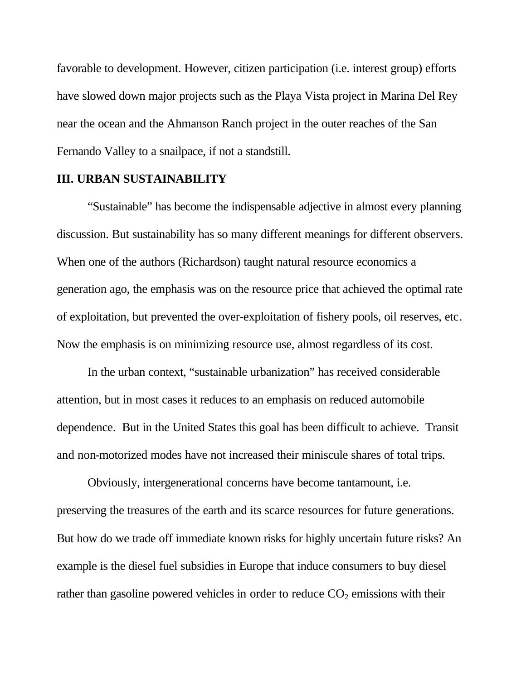favorable to development. However, citizen participation (i.e. interest group) efforts have slowed down major projects such as the Playa Vista project in Marina Del Rey near the ocean and the Ahmanson Ranch project in the outer reaches of the San Fernando Valley to a snailpace, if not a standstill.

#### **III. URBAN SUSTAINABILITY**

"Sustainable" has become the indispensable adjective in almost every planning discussion. But sustainability has so many different meanings for different observers. When one of the authors (Richardson) taught natural resource economics a generation ago, the emphasis was on the resource price that achieved the optimal rate of exploitation, but prevented the over-exploitation of fishery pools, oil reserves, etc. Now the emphasis is on minimizing resource use, almost regardless of its cost.

In the urban context, "sustainable urbanization" has received considerable attention, but in most cases it reduces to an emphasis on reduced automobile dependence. But in the United States this goal has been difficult to achieve. Transit and non-motorized modes have not increased their miniscule shares of total trips.

Obviously, intergenerational concerns have become tantamount, i.e. preserving the treasures of the earth and its scarce resources for future generations. But how do we trade off immediate known risks for highly uncertain future risks? An example is the diesel fuel subsidies in Europe that induce consumers to buy diesel rather than gasoline powered vehicles in order to reduce  $CO<sub>2</sub>$  emissions with their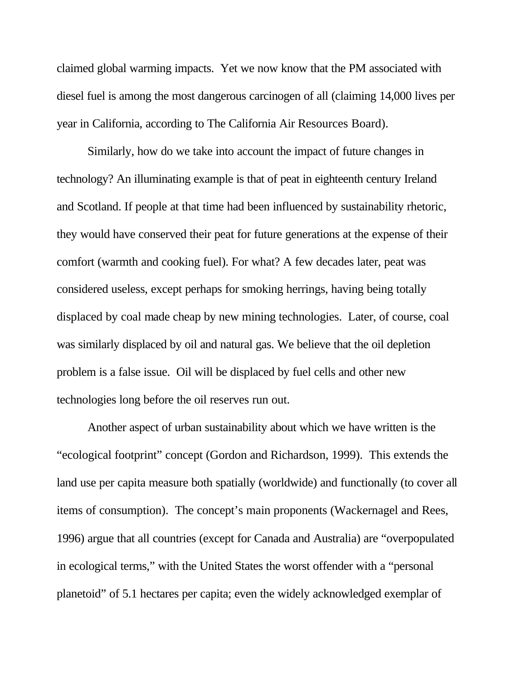claimed global warming impacts. Yet we now know that the PM associated with diesel fuel is among the most dangerous carcinogen of all (claiming 14,000 lives per year in California, according to The California Air Resources Board).

Similarly, how do we take into account the impact of future changes in technology? An illuminating example is that of peat in eighteenth century Ireland and Scotland. If people at that time had been influenced by sustainability rhetoric, they would have conserved their peat for future generations at the expense of their comfort (warmth and cooking fuel). For what? A few decades later, peat was considered useless, except perhaps for smoking herrings, having being totally displaced by coal made cheap by new mining technologies. Later, of course, coal was similarly displaced by oil and natural gas. We believe that the oil depletion problem is a false issue. Oil will be displaced by fuel cells and other new technologies long before the oil reserves run out.

Another aspect of urban sustainability about which we have written is the "ecological footprint" concept (Gordon and Richardson, 1999). This extends the land use per capita measure both spatially (worldwide) and functionally (to cover all items of consumption). The concept's main proponents (Wackernagel and Rees, 1996) argue that all countries (except for Canada and Australia) are "overpopulated in ecological terms," with the United States the worst offender with a "personal planetoid" of 5.1 hectares per capita; even the widely acknowledged exemplar of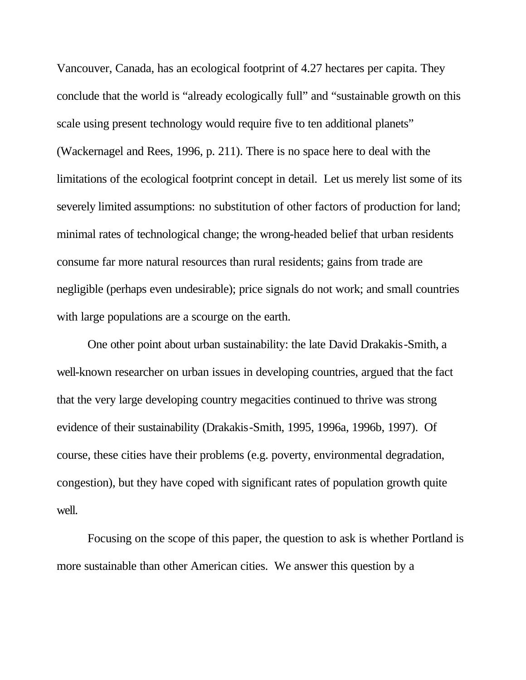Vancouver, Canada, has an ecological footprint of 4.27 hectares per capita. They conclude that the world is "already ecologically full" and "sustainable growth on this scale using present technology would require five to ten additional planets" (Wackernagel and Rees, 1996, p. 211). There is no space here to deal with the limitations of the ecological footprint concept in detail. Let us merely list some of its severely limited assumptions: no substitution of other factors of production for land; minimal rates of technological change; the wrong-headed belief that urban residents consume far more natural resources than rural residents; gains from trade are negligible (perhaps even undesirable); price signals do not work; and small countries with large populations are a scourge on the earth.

One other point about urban sustainability: the late David Drakakis-Smith, a well-known researcher on urban issues in developing countries, argued that the fact that the very large developing country megacities continued to thrive was strong evidence of their sustainability (Drakakis-Smith, 1995, 1996a, 1996b, 1997). Of course, these cities have their problems (e.g. poverty, environmental degradation, congestion), but they have coped with significant rates of population growth quite well.

Focusing on the scope of this paper, the question to ask is whether Portland is more sustainable than other American cities. We answer this question by a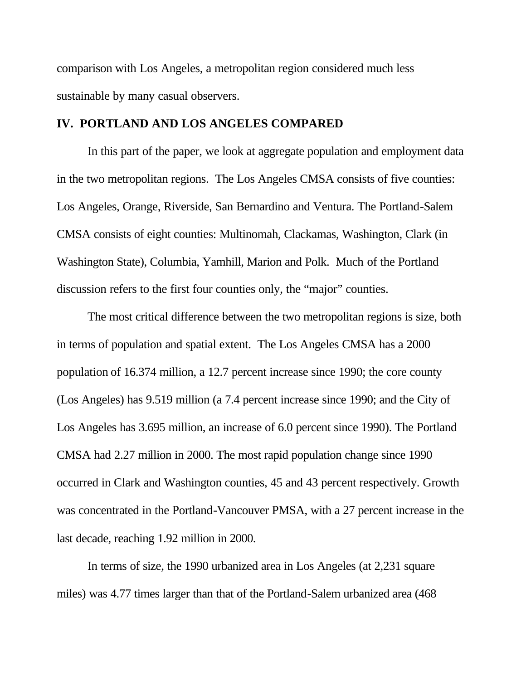comparison with Los Angeles, a metropolitan region considered much less sustainable by many casual observers.

#### **IV. PORTLAND AND LOS ANGELES COMPARED**

In this part of the paper, we look at aggregate population and employment data in the two metropolitan regions. The Los Angeles CMSA consists of five counties: Los Angeles, Orange, Riverside, San Bernardino and Ventura. The Portland-Salem CMSA consists of eight counties: Multinomah, Clackamas, Washington, Clark (in Washington State), Columbia, Yamhill, Marion and Polk. Much of the Portland discussion refers to the first four counties only, the "major" counties.

The most critical difference between the two metropolitan regions is size, both in terms of population and spatial extent. The Los Angeles CMSA has a 2000 population of 16.374 million, a 12.7 percent increase since 1990; the core county (Los Angeles) has 9.519 million (a 7.4 percent increase since 1990; and the City of Los Angeles has 3.695 million, an increase of 6.0 percent since 1990). The Portland CMSA had 2.27 million in 2000. The most rapid population change since 1990 occurred in Clark and Washington counties, 45 and 43 percent respectively. Growth was concentrated in the Portland-Vancouver PMSA, with a 27 percent increase in the last decade, reaching 1.92 million in 2000.

In terms of size, the 1990 urbanized area in Los Angeles (at 2,231 square miles) was 4.77 times larger than that of the Portland-Salem urbanized area (468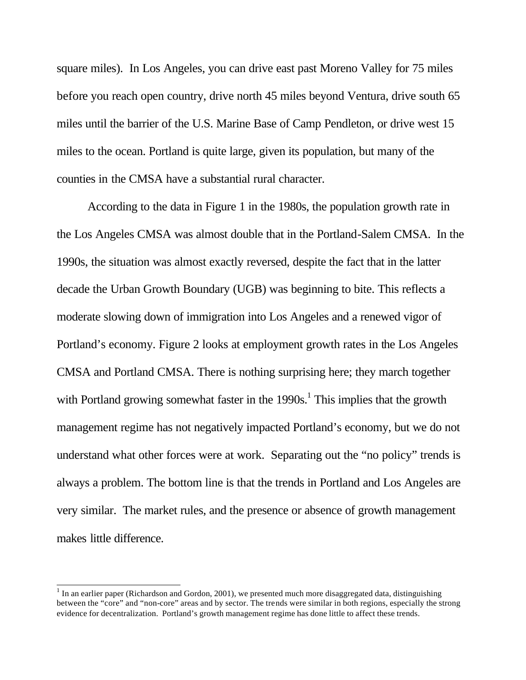square miles). In Los Angeles, you can drive east past Moreno Valley for 75 miles before you reach open country, drive north 45 miles beyond Ventura, drive south 65 miles until the barrier of the U.S. Marine Base of Camp Pendleton, or drive west 15 miles to the ocean. Portland is quite large, given its population, but many of the counties in the CMSA have a substantial rural character.

According to the data in Figure 1 in the 1980s, the population growth rate in the Los Angeles CMSA was almost double that in the Portland-Salem CMSA. In the 1990s, the situation was almost exactly reversed, despite the fact that in the latter decade the Urban Growth Boundary (UGB) was beginning to bite. This reflects a moderate slowing down of immigration into Los Angeles and a renewed vigor of Portland's economy. Figure 2 looks at employment growth rates in the Los Angeles CMSA and Portland CMSA. There is nothing surprising here; they march together with Portland growing somewhat faster in the  $1990s<sup>1</sup>$ . This implies that the growth management regime has not negatively impacted Portland's economy, but we do not understand what other forces were at work. Separating out the "no policy" trends is always a problem. The bottom line is that the trends in Portland and Los Angeles are very similar. The market rules, and the presence or absence of growth management makes little difference.

l

 $1$  In an earlier paper (Richardson and Gordon, 2001), we presented much more disaggregated data, distinguishing between the "core" and "non-core" areas and by sector. The trends were similar in both regions, especially the strong evidence for decentralization. Portland's growth management regime has done little to affect these trends.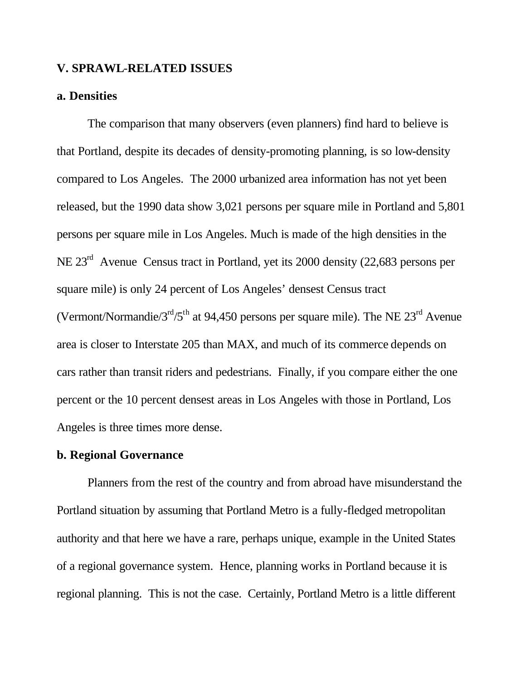## **V. SPRAWL**-**RELATED ISSUES**

## **a. Densities**

The comparison that many observers (even planners) find hard to believe is that Portland, despite its decades of density-promoting planning, is so low-density compared to Los Angeles. The 2000 urbanized area information has not yet been released, but the 1990 data show 3,021 persons per square mile in Portland and 5,801 persons per square mile in Los Angeles. Much is made of the high densities in the NE 23rd Avenue Census tract in Portland, yet its 2000 density (22,683 persons per square mile) is only 24 percent of Los Angeles' densest Census tract (Vermont/Normandie/ $3<sup>rd</sup>/5<sup>th</sup>$  at 94,450 persons per square mile). The NE  $23<sup>rd</sup>$  Avenue area is closer to Interstate 205 than MAX, and much of its commerce depends on cars rather than transit riders and pedestrians. Finally, if you compare either the one percent or the 10 percent densest areas in Los Angeles with those in Portland, Los Angeles is three times more dense.

## **b. Regional Governance**

Planners from the rest of the country and from abroad have misunderstand the Portland situation by assuming that Portland Metro is a fully-fledged metropolitan authority and that here we have a rare, perhaps unique, example in the United States of a regional governance system. Hence, planning works in Portland because it is regional planning. This is not the case. Certainly, Portland Metro is a little different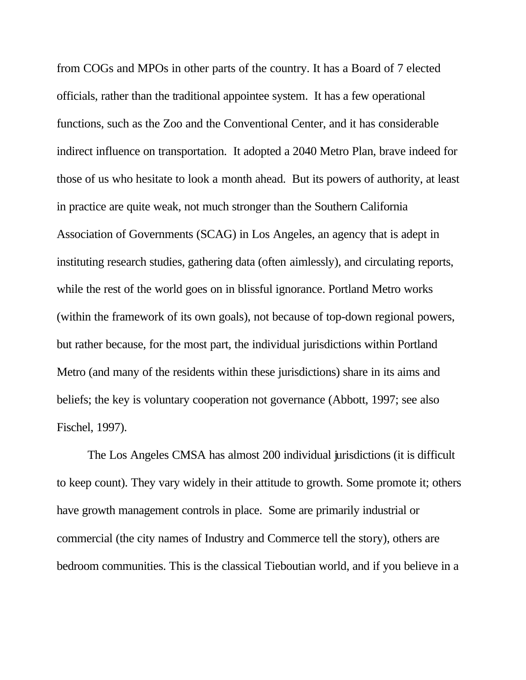from COGs and MPOs in other parts of the country. It has a Board of 7 elected officials, rather than the traditional appointee system. It has a few operational functions, such as the Zoo and the Conventional Center, and it has considerable indirect influence on transportation. It adopted a 2040 Metro Plan, brave indeed for those of us who hesitate to look a month ahead. But its powers of authority, at least in practice are quite weak, not much stronger than the Southern California Association of Governments (SCAG) in Los Angeles, an agency that is adept in instituting research studies, gathering data (often aimlessly), and circulating reports, while the rest of the world goes on in blissful ignorance. Portland Metro works (within the framework of its own goals), not because of top-down regional powers, but rather because, for the most part, the individual jurisdictions within Portland Metro (and many of the residents within these jurisdictions) share in its aims and beliefs; the key is voluntary cooperation not governance (Abbott, 1997; see also Fischel, 1997).

The Los Angeles CMSA has almost 200 individual jurisdictions (it is difficult to keep count). They vary widely in their attitude to growth. Some promote it; others have growth management controls in place. Some are primarily industrial or commercial (the city names of Industry and Commerce tell the story), others are bedroom communities. This is the classical Tieboutian world, and if you believe in a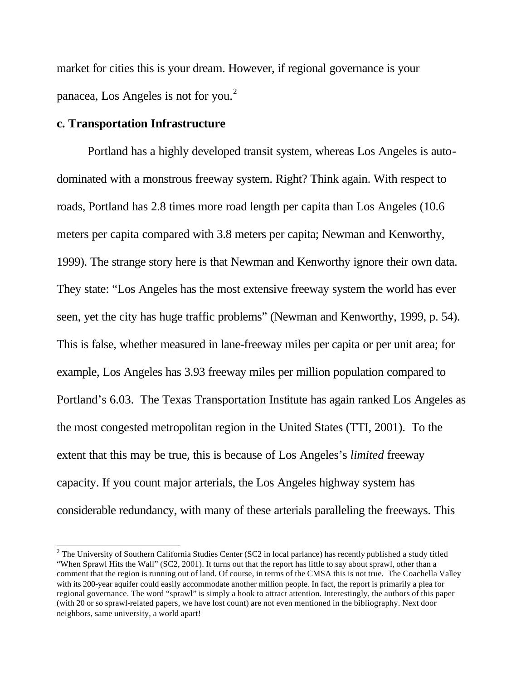market for cities this is your dream. However, if regional governance is your panacea, Los Angeles is not for you.<sup>2</sup>

#### **c. Transportation Infrastructure**

l

Portland has a highly developed transit system, whereas Los Angeles is autodominated with a monstrous freeway system. Right? Think again. With respect to roads, Portland has 2.8 times more road length per capita than Los Angeles (10.6 meters per capita compared with 3.8 meters per capita; Newman and Kenworthy, 1999). The strange story here is that Newman and Kenworthy ignore their own data. They state: "Los Angeles has the most extensive freeway system the world has ever seen, yet the city has huge traffic problems" (Newman and Kenworthy, 1999, p. 54). This is false, whether measured in lane-freeway miles per capita or per unit area; for example, Los Angeles has 3.93 freeway miles per million population compared to Portland's 6.03. The Texas Transportation Institute has again ranked Los Angeles as the most congested metropolitan region in the United States (TTI, 2001). To the extent that this may be true, this is because of Los Angeles's *limited* freeway capacity. If you count major arterials, the Los Angeles highway system has considerable redundancy, with many of these arterials paralleling the freeways. This

 $2$  The University of Southern California Studies Center (SC2 in local parlance) has recently published a study titled "When Sprawl Hits the Wall" (SC2, 2001). It turns out that the report has little to say about sprawl, other than a comment that the region is running out of land. Of course, in terms of the CMSA this is not true. The Coachella Valley with its 200-year aquifer could easily accommodate another million people. In fact, the report is primarily a plea for regional governance. The word "sprawl" is simply a hook to attract attention. Interestingly, the authors of this paper (with 20 or so sprawl-related papers, we have lost count) are not even mentioned in the bibliography. Next door neighbors, same university, a world apart!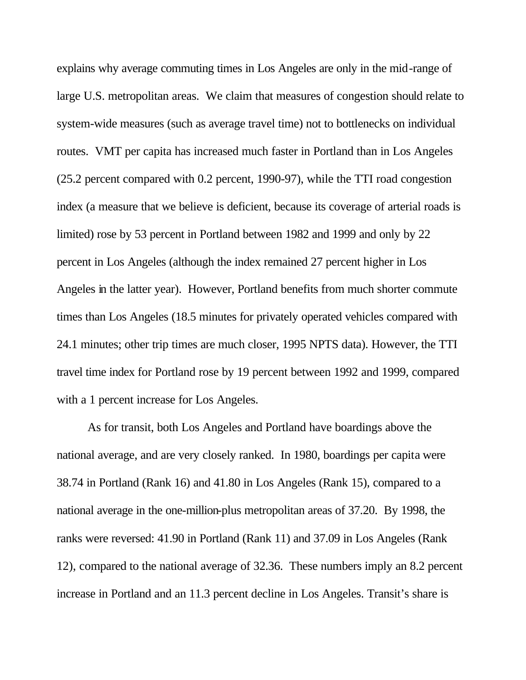explains why average commuting times in Los Angeles are only in the mid-range of large U.S. metropolitan areas. We claim that measures of congestion should relate to system-wide measures (such as average travel time) not to bottlenecks on individual routes. VMT per capita has increased much faster in Portland than in Los Angeles (25.2 percent compared with 0.2 percent, 1990-97), while the TTI road congestion index (a measure that we believe is deficient, because its coverage of arterial roads is limited) rose by 53 percent in Portland between 1982 and 1999 and only by 22 percent in Los Angeles (although the index remained 27 percent higher in Los Angeles in the latter year). However, Portland benefits from much shorter commute times than Los Angeles (18.5 minutes for privately operated vehicles compared with 24.1 minutes; other trip times are much closer, 1995 NPTS data). However, the TTI travel time index for Portland rose by 19 percent between 1992 and 1999, compared with a 1 percent increase for Los Angeles.

As for transit, both Los Angeles and Portland have boardings above the national average, and are very closely ranked. In 1980, boardings per capita were 38.74 in Portland (Rank 16) and 41.80 in Los Angeles (Rank 15), compared to a national average in the one-million-plus metropolitan areas of 37.20. By 1998, the ranks were reversed: 41.90 in Portland (Rank 11) and 37.09 in Los Angeles (Rank 12), compared to the national average of 32.36. These numbers imply an 8.2 percent increase in Portland and an 11.3 percent decline in Los Angeles. Transit's share is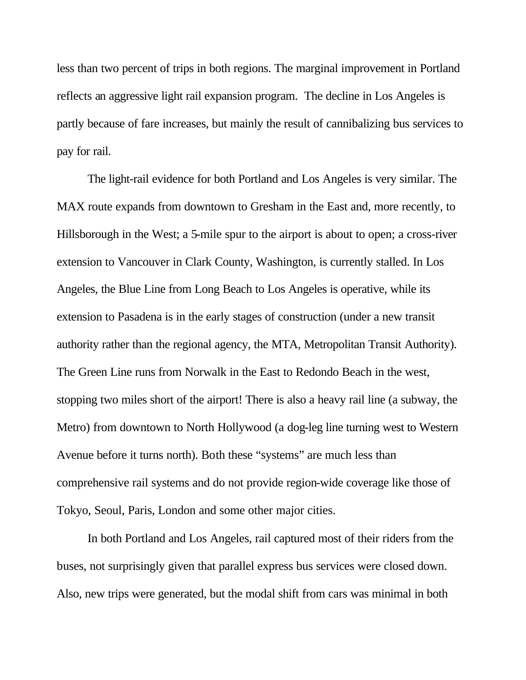less than two percent of trips in both regions. The marginal improvement in Portland reflects an aggressive light rail expansion program. The decline in Los Angeles is partly because of fare increases, but mainly the result of cannibalizing bus services to pay for rail.

The light-rail evidence for both Portland and Los Angeles is very similar. The MAX route expands from downtown to Gresham in the East and, more recently, to Hillsborough in the West; a 5-mile spur to the airport is about to open; a cross-river extension to Vancouver in Clark County, Washington, is currently stalled. In Los Angeles, the Blue Line from Long Beach to Los Angeles is operative, while its extension to Pasadena is in the early stages of construction (under a new transit authority rather than the regional agency, the MTA, Metropolitan Transit Authority). The Green Line runs from Norwalk in the East to Redondo Beach in the west, stopping two miles short of the airport! There is also a heavy rail line (a subway, the Metro) from downtown to North Hollywood (a dog-leg line turning west to Western Avenue before it turns north). Both these "systems" are much less than comprehensive rail systems and do not provide region-wide coverage like those of Tokyo, Seoul, Paris, London and some other major cities.

In both Portland and Los Angeles, rail captured most of their riders from the buses, not surprisingly given that parallel express bus services were closed down. Also, new trips were generated, but the modal shift from cars was minimal in both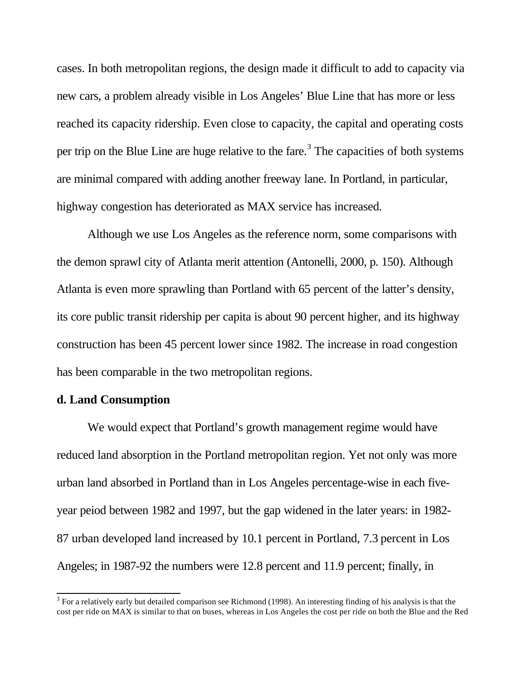cases. In both metropolitan regions, the design made it difficult to add to capacity via new cars, a problem already visible in Los Angeles' Blue Line that has more or less reached its capacity ridership. Even close to capacity, the capital and operating costs per trip on the Blue Line are huge relative to the fare.<sup>3</sup> The capacities of both systems are minimal compared with adding another freeway lane. In Portland, in particular, highway congestion has deteriorated as MAX service has increased.

Although we use Los Angeles as the reference norm, some comparisons with the demon sprawl city of Atlanta merit attention (Antonelli, 2000, p. 150). Although Atlanta is even more sprawling than Portland with 65 percent of the latter's density, its core public transit ridership per capita is about 90 percent higher, and its highway construction has been 45 percent lower since 1982. The increase in road congestion has been comparable in the two metropolitan regions.

# **d. Land Consumption**

We would expect that Portland's growth management regime would have reduced land absorption in the Portland metropolitan region. Yet not only was more urban land absorbed in Portland than in Los Angeles percentage-wise in each fiveyear peiod between 1982 and 1997, but the gap widened in the later years: in 1982- 87 urban developed land increased by 10.1 percent in Portland, 7.3 percent in Los Angeles; in 1987-92 the numbers were 12.8 percent and 11.9 percent; finally, in

<sup>&</sup>lt;sup>3</sup> For a relatively early but detailed comparison see Richmond (1998). An interesting finding of his analysis is that the cost per ride on MAX is similar to that on buses, whereas in Los Angeles the cost per ride on both the Blue and the Red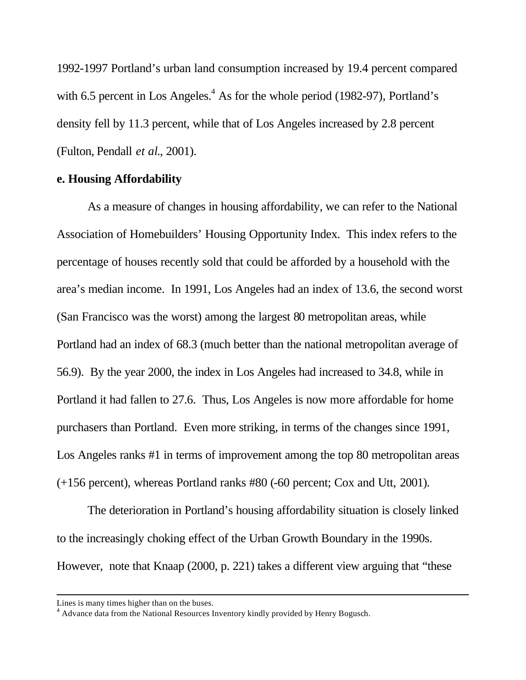1992-1997 Portland's urban land consumption increased by 19.4 percent compared with 6.5 percent in Los Angeles. $<sup>4</sup>$  As for the whole period (1982-97), Portland's</sup> density fell by 11.3 percent, while that of Los Angeles increased by 2.8 percent (Fulton, Pendall *et al*., 2001).

# **e. Housing Affordability**

As a measure of changes in housing affordability, we can refer to the National Association of Homebuilders' Housing Opportunity Index. This index refers to the percentage of houses recently sold that could be afforded by a household with the area's median income. In 1991, Los Angeles had an index of 13.6, the second worst (San Francisco was the worst) among the largest 80 metropolitan areas, while Portland had an index of 68.3 (much better than the national metropolitan average of 56.9). By the year 2000, the index in Los Angeles had increased to 34.8, while in Portland it had fallen to 27.6. Thus, Los Angeles is now more affordable for home purchasers than Portland. Even more striking, in terms of the changes since 1991, Los Angeles ranks #1 in terms of improvement among the top 80 metropolitan areas (+156 percent), whereas Portland ranks #80 (-60 percent; Cox and Utt, 2001).

The deterioration in Portland's housing affordability situation is closely linked to the increasingly choking effect of the Urban Growth Boundary in the 1990s. However, note that Knaap (2000, p. 221) takes a different view arguing that "these

l

Lines is many times higher than on the buses.

<sup>&</sup>lt;sup>4</sup> Advance data from the National Resources Inventory kindly provided by Henry Bogusch.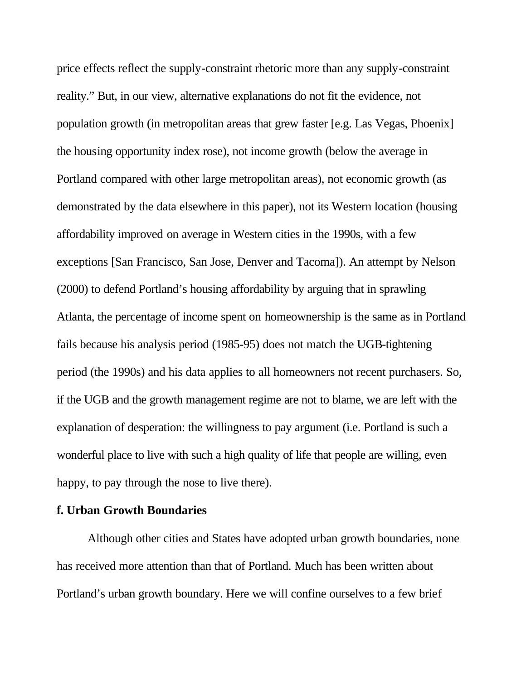price effects reflect the supply-constraint rhetoric more than any supply-constraint reality." But, in our view, alternative explanations do not fit the evidence, not population growth (in metropolitan areas that grew faster [e.g. Las Vegas, Phoenix] the housing opportunity index rose), not income growth (below the average in Portland compared with other large metropolitan areas), not economic growth (as demonstrated by the data elsewhere in this paper), not its Western location (housing affordability improved on average in Western cities in the 1990s, with a few exceptions [San Francisco, San Jose, Denver and Tacoma]). An attempt by Nelson (2000) to defend Portland's housing affordability by arguing that in sprawling Atlanta, the percentage of income spent on homeownership is the same as in Portland fails because his analysis period (1985-95) does not match the UGB-tightening period (the 1990s) and his data applies to all homeowners not recent purchasers. So, if the UGB and the growth management regime are not to blame, we are left with the explanation of desperation: the willingness to pay argument (i.e. Portland is such a wonderful place to live with such a high quality of life that people are willing, even happy, to pay through the nose to live there).

#### **f. Urban Growth Boundaries**

Although other cities and States have adopted urban growth boundaries, none has received more attention than that of Portland. Much has been written about Portland's urban growth boundary. Here we will confine ourselves to a few brief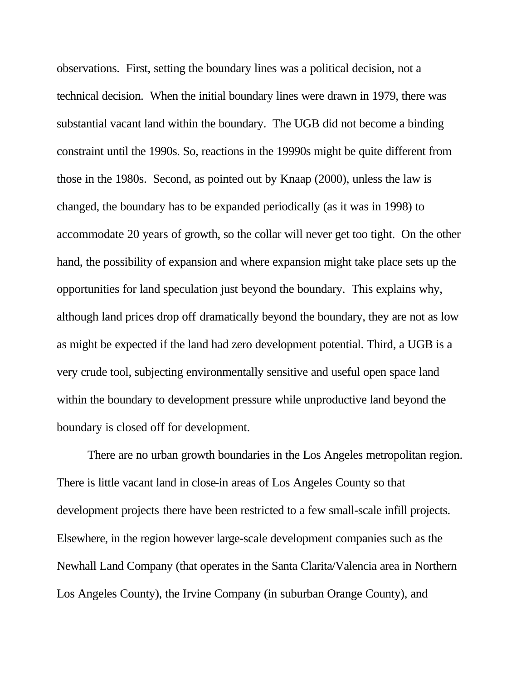observations. First, setting the boundary lines was a political decision, not a technical decision. When the initial boundary lines were drawn in 1979, there was substantial vacant land within the boundary. The UGB did not become a binding constraint until the 1990s. So, reactions in the 19990s might be quite different from those in the 1980s. Second, as pointed out by Knaap (2000), unless the law is changed, the boundary has to be expanded periodically (as it was in 1998) to accommodate 20 years of growth, so the collar will never get too tight. On the other hand, the possibility of expansion and where expansion might take place sets up the opportunities for land speculation just beyond the boundary. This explains why, although land prices drop off dramatically beyond the boundary, they are not as low as might be expected if the land had zero development potential. Third, a UGB is a very crude tool, subjecting environmentally sensitive and useful open space land within the boundary to development pressure while unproductive land beyond the boundary is closed off for development.

There are no urban growth boundaries in the Los Angeles metropolitan region. There is little vacant land in close-in areas of Los Angeles County so that development projects there have been restricted to a few small-scale infill projects. Elsewhere, in the region however large-scale development companies such as the Newhall Land Company (that operates in the Santa Clarita/Valencia area in Northern Los Angeles County), the Irvine Company (in suburban Orange County), and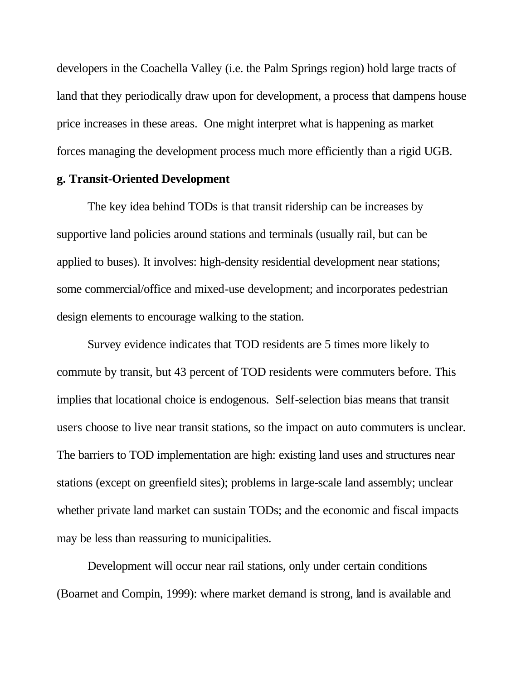developers in the Coachella Valley (i.e. the Palm Springs region) hold large tracts of land that they periodically draw upon for development, a process that dampens house price increases in these areas. One might interpret what is happening as market forces managing the development process much more efficiently than a rigid UGB.

#### **g. Transit-Oriented Development**

The key idea behind TODs is that transit ridership can be increases by supportive land policies around stations and terminals (usually rail, but can be applied to buses). It involves: high-density residential development near stations; some commercial/office and mixed-use development; and incorporates pedestrian design elements to encourage walking to the station.

Survey evidence indicates that TOD residents are 5 times more likely to commute by transit, but 43 percent of TOD residents were commuters before. This implies that locational choice is endogenous. Self-selection bias means that transit users choose to live near transit stations, so the impact on auto commuters is unclear. The barriers to TOD implementation are high: existing land uses and structures near stations (except on greenfield sites); problems in large-scale land assembly; unclear whether private land market can sustain TODs; and the economic and fiscal impacts may be less than reassuring to municipalities.

Development will occur near rail stations, only under certain conditions (Boarnet and Compin, 1999): where market demand is strong, land is available and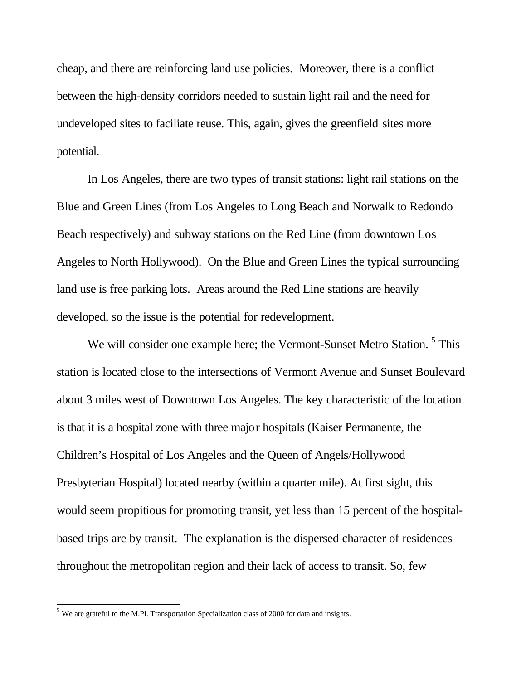cheap, and there are reinforcing land use policies. Moreover, there is a conflict between the high-density corridors needed to sustain light rail and the need for undeveloped sites to faciliate reuse. This, again, gives the greenfield sites more potential.

In Los Angeles, there are two types of transit stations: light rail stations on the Blue and Green Lines (from Los Angeles to Long Beach and Norwalk to Redondo Beach respectively) and subway stations on the Red Line (from downtown Los Angeles to North Hollywood). On the Blue and Green Lines the typical surrounding land use is free parking lots. Areas around the Red Line stations are heavily developed, so the issue is the potential for redevelopment.

We will consider one example here; the Vermont-Sunset Metro Station.<sup>5</sup> This station is located close to the intersections of Vermont Avenue and Sunset Boulevard about 3 miles west of Downtown Los Angeles. The key characteristic of the location is that it is a hospital zone with three major hospitals (Kaiser Permanente, the Children's Hospital of Los Angeles and the Queen of Angels/Hollywood Presbyterian Hospital) located nearby (within a quarter mile). At first sight, this would seem propitious for promoting transit, yet less than 15 percent of the hospitalbased trips are by transit. The explanation is the dispersed character of residences throughout the metropolitan region and their lack of access to transit. So, few

l

<sup>&</sup>lt;sup>5</sup> We are grateful to the M.Pl. Transportation Specialization class of 2000 for data and insights.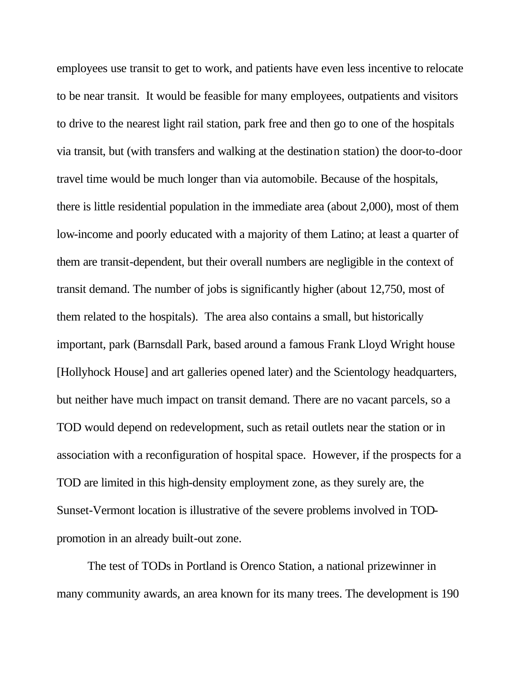employees use transit to get to work, and patients have even less incentive to relocate to be near transit. It would be feasible for many employees, outpatients and visitors to drive to the nearest light rail station, park free and then go to one of the hospitals via transit, but (with transfers and walking at the destination station) the door-to-door travel time would be much longer than via automobile. Because of the hospitals, there is little residential population in the immediate area (about 2,000), most of them low-income and poorly educated with a majority of them Latino; at least a quarter of them are transit-dependent, but their overall numbers are negligible in the context of transit demand. The number of jobs is significantly higher (about 12,750, most of them related to the hospitals). The area also contains a small, but historically important, park (Barnsdall Park, based around a famous Frank Lloyd Wright house [Hollyhock House] and art galleries opened later) and the Scientology headquarters, but neither have much impact on transit demand. There are no vacant parcels, so a TOD would depend on redevelopment, such as retail outlets near the station or in association with a reconfiguration of hospital space. However, if the prospects for a TOD are limited in this high-density employment zone, as they surely are, the Sunset-Vermont location is illustrative of the severe problems involved in TODpromotion in an already built-out zone.

The test of TODs in Portland is Orenco Station, a national prizewinner in many community awards, an area known for its many trees. The development is 190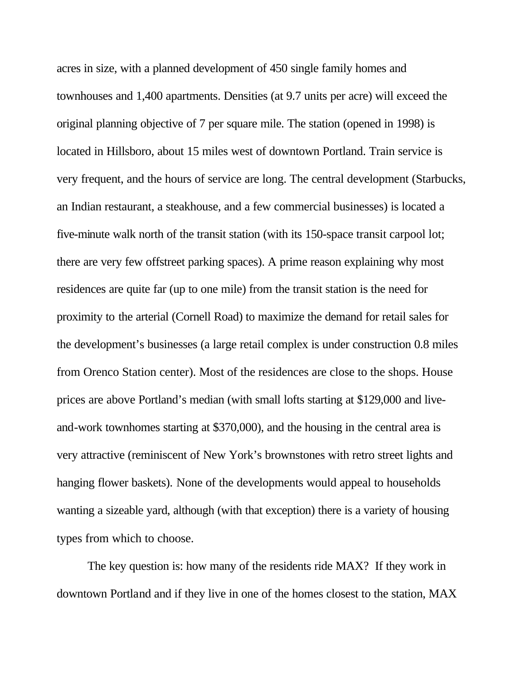acres in size, with a planned development of 450 single family homes and townhouses and 1,400 apartments. Densities (at 9.7 units per acre) will exceed the original planning objective of 7 per square mile. The station (opened in 1998) is located in Hillsboro, about 15 miles west of downtown Portland. Train service is very frequent, and the hours of service are long. The central development (Starbucks, an Indian restaurant, a steakhouse, and a few commercial businesses) is located a five-minute walk north of the transit station (with its 150-space transit carpool lot; there are very few offstreet parking spaces). A prime reason explaining why most residences are quite far (up to one mile) from the transit station is the need for proximity to the arterial (Cornell Road) to maximize the demand for retail sales for the development's businesses (a large retail complex is under construction 0.8 miles from Orenco Station center). Most of the residences are close to the shops. House prices are above Portland's median (with small lofts starting at \$129,000 and liveand-work townhomes starting at \$370,000), and the housing in the central area is very attractive (reminiscent of New York's brownstones with retro street lights and hanging flower baskets). None of the developments would appeal to households wanting a sizeable yard, although (with that exception) there is a variety of housing types from which to choose.

The key question is: how many of the residents ride MAX? If they work in downtown Portland and if they live in one of the homes closest to the station, MAX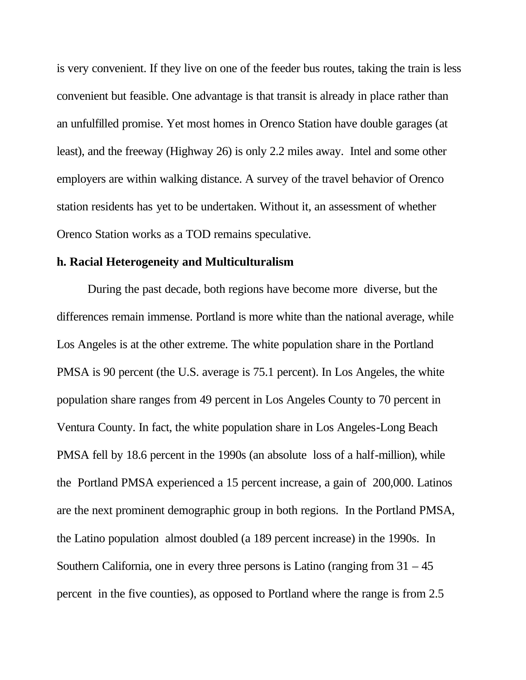is very convenient. If they live on one of the feeder bus routes, taking the train is less convenient but feasible. One advantage is that transit is already in place rather than an unfulfilled promise. Yet most homes in Orenco Station have double garages (at least), and the freeway (Highway 26) is only 2.2 miles away. Intel and some other employers are within walking distance. A survey of the travel behavior of Orenco station residents has yet to be undertaken. Without it, an assessment of whether Orenco Station works as a TOD remains speculative.

## **h. Racial Heterogeneity and Multiculturalism**

During the past decade, both regions have become more diverse, but the differences remain immense. Portland is more white than the national average, while Los Angeles is at the other extreme. The white population share in the Portland PMSA is 90 percent (the U.S. average is 75.1 percent). In Los Angeles, the white population share ranges from 49 percent in Los Angeles County to 70 percent in Ventura County. In fact, the white population share in Los Angeles-Long Beach PMSA fell by 18.6 percent in the 1990s (an absolute loss of a half-million), while the Portland PMSA experienced a 15 percent increase, a gain of 200,000. Latinos are the next prominent demographic group in both regions. In the Portland PMSA, the Latino population almost doubled (a 189 percent increase) in the 1990s. In Southern California, one in every three persons is Latino (ranging from  $31 - 45$ ) percent in the five counties), as opposed to Portland where the range is from 2.5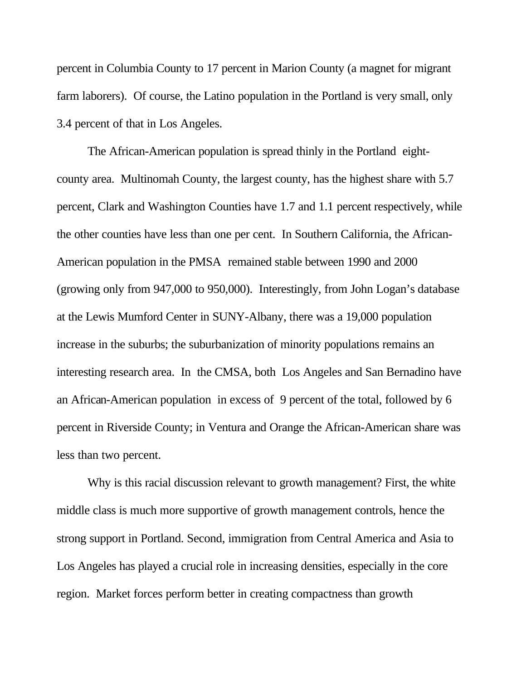percent in Columbia County to 17 percent in Marion County (a magnet for migrant farm laborers). Of course, the Latino population in the Portland is very small, only 3.4 percent of that in Los Angeles.

The African-American population is spread thinly in the Portland eightcounty area. Multinomah County, the largest county, has the highest share with 5.7 percent, Clark and Washington Counties have 1.7 and 1.1 percent respectively, while the other counties have less than one per cent. In Southern California, the African-American population in the PMSA remained stable between 1990 and 2000 (growing only from 947,000 to 950,000). Interestingly, from John Logan's database at the Lewis Mumford Center in SUNY-Albany, there was a 19,000 population increase in the suburbs; the suburbanization of minority populations remains an interesting research area. In the CMSA, both Los Angeles and San Bernadino have an African-American population in excess of 9 percent of the total, followed by 6 percent in Riverside County; in Ventura and Orange the African-American share was less than two percent.

Why is this racial discussion relevant to growth management? First, the white middle class is much more supportive of growth management controls, hence the strong support in Portland. Second, immigration from Central America and Asia to Los Angeles has played a crucial role in increasing densities, especially in the core region. Market forces perform better in creating compactness than growth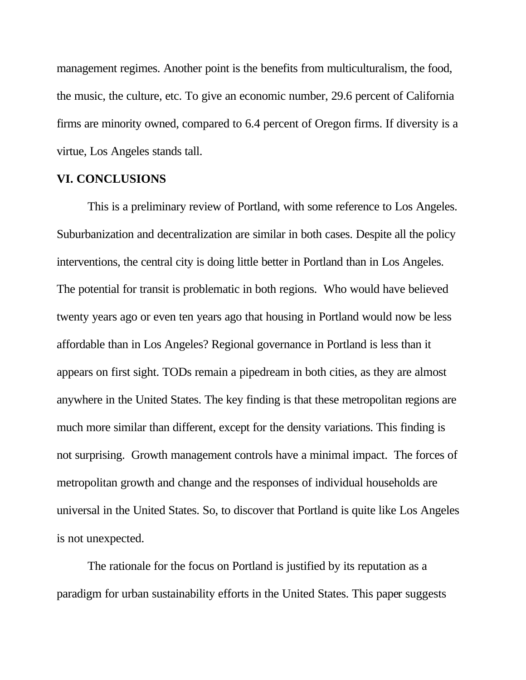management regimes. Another point is the benefits from multiculturalism, the food, the music, the culture, etc. To give an economic number, 29.6 percent of California firms are minority owned, compared to 6.4 percent of Oregon firms. If diversity is a virtue, Los Angeles stands tall.

## **VI. CONCLUSIONS**

This is a preliminary review of Portland, with some reference to Los Angeles. Suburbanization and decentralization are similar in both cases. Despite all the policy interventions, the central city is doing little better in Portland than in Los Angeles. The potential for transit is problematic in both regions. Who would have believed twenty years ago or even ten years ago that housing in Portland would now be less affordable than in Los Angeles? Regional governance in Portland is less than it appears on first sight. TODs remain a pipedream in both cities, as they are almost anywhere in the United States. The key finding is that these metropolitan regions are much more similar than different, except for the density variations. This finding is not surprising. Growth management controls have a minimal impact. The forces of metropolitan growth and change and the responses of individual households are universal in the United States. So, to discover that Portland is quite like Los Angeles is not unexpected.

The rationale for the focus on Portland is justified by its reputation as a paradigm for urban sustainability efforts in the United States. This paper suggests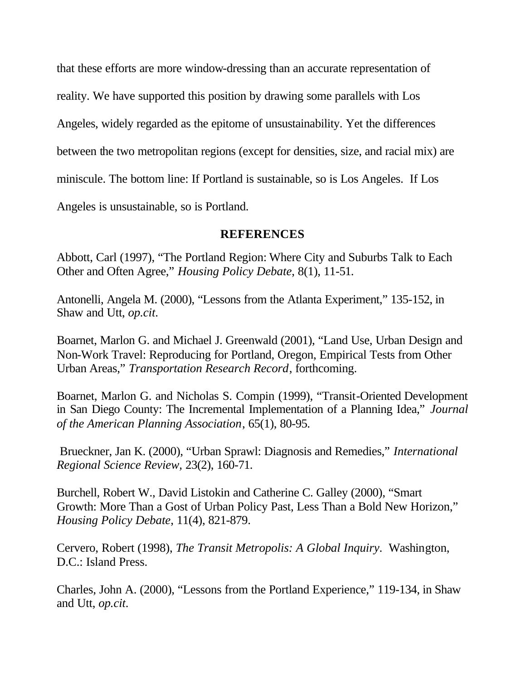that these efforts are more window-dressing than an accurate representation of reality. We have supported this position by drawing some parallels with Los Angeles, widely regarded as the epitome of unsustainability. Yet the differences between the two metropolitan regions (except for densities, size, and racial mix) are miniscule. The bottom line: If Portland is sustainable, so is Los Angeles. If Los Angeles is unsustainable, so is Portland.

# **REFERENCES**

Abbott, Carl (1997), "The Portland Region: Where City and Suburbs Talk to Each Other and Often Agree," *Housing Policy Debate*, 8(1), 11-51.

Antonelli, Angela M. (2000), "Lessons from the Atlanta Experiment," 135-152, in Shaw and Utt, *op.cit*.

Boarnet, Marlon G. and Michael J. Greenwald (2001), "Land Use, Urban Design and Non-Work Travel: Reproducing for Portland, Oregon, Empirical Tests from Other Urban Areas," *Transportation Research Record*, forthcoming.

Boarnet, Marlon G. and Nicholas S. Compin (1999), "Transit-Oriented Development in San Diego County: The Incremental Implementation of a Planning Idea," *Journal of the American Planning Association*, 65(1), 80-95.

 Brueckner, Jan K. (2000), "Urban Sprawl: Diagnosis and Remedies," *International Regional Science Review,* 23(2), 160-71.

Burchell, Robert W., David Listokin and Catherine C. Galley (2000), "Smart Growth: More Than a Gost of Urban Policy Past, Less Than a Bold New Horizon," *Housing Policy Debate*, 11(4), 821-879.

Cervero, Robert (1998), *The Transit Metropolis: A Global Inquiry*. Washington, D.C.: Island Press.

Charles, John A. (2000), "Lessons from the Portland Experience," 119-134, in Shaw and Utt, *op.cit*.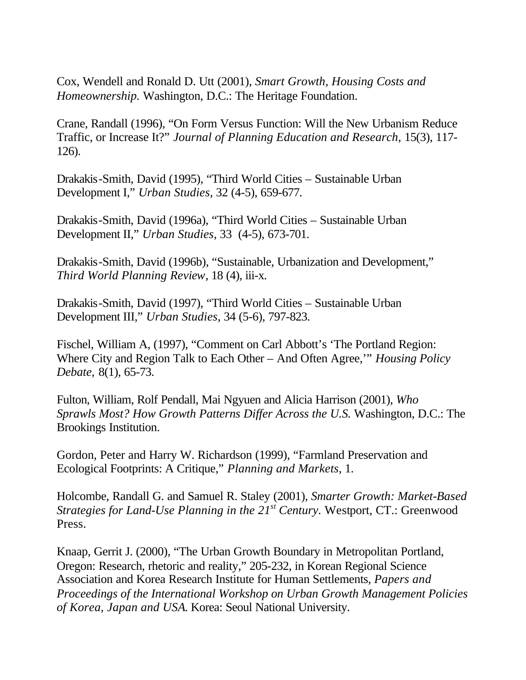Cox, Wendell and Ronald D. Utt (2001), *Smart Growth, Housing Costs and Homeownership.* Washington, D.C.: The Heritage Foundation.

Crane, Randall (1996), "On Form Versus Function: Will the New Urbanism Reduce Traffic, or Increase It?" *Journal of Planning Education and Research,* 15(3), 117- 126).

Drakakis-Smith, David (1995), "Third World Cities – Sustainable Urban Development I," *Urban Studies*, 32 (4-5), 659-677.

Drakakis-Smith, David (1996a), "Third World Cities – Sustainable Urban Development II," *Urban Studies*, 33 (4-5), 673-701.

Drakakis-Smith, David (1996b), "Sustainable, Urbanization and Development," *Third World Planning Review*, 18 (4), iii-x.

Drakakis-Smith, David (1997), "Third World Cities – Sustainable Urban Development III," *Urban Studies*, 34 (5-6), 797-823.

Fischel, William A, (1997), "Comment on Carl Abbott's 'The Portland Region: Where City and Region Talk to Each Other – And Often Agree,'" *Housing Policy Debate,* 8(1), 65-73.

Fulton, William, Rolf Pendall, Mai Ngyuen and Alicia Harrison (2001), *Who Sprawls Most? How Growth Patterns Differ Across the U.S.* Washington, D.C.: The Brookings Institution.

Gordon, Peter and Harry W. Richardson (1999), "Farmland Preservation and Ecological Footprints: A Critique," *Planning and Markets*, 1.

Holcombe, Randall G. and Samuel R. Staley (2001), *Smarter Growth: Market-Based Strategies for Land-Use Planning in the 21st Century*. Westport, CT.: Greenwood Press.

Knaap, Gerrit J. (2000), "The Urban Growth Boundary in Metropolitan Portland, Oregon: Research, rhetoric and reality," 205-232, in Korean Regional Science Association and Korea Research Institute for Human Settlements, *Papers and Proceedings of the International Workshop on Urban Growth Management Policies of Korea, Japan and USA*. Korea: Seoul National University.